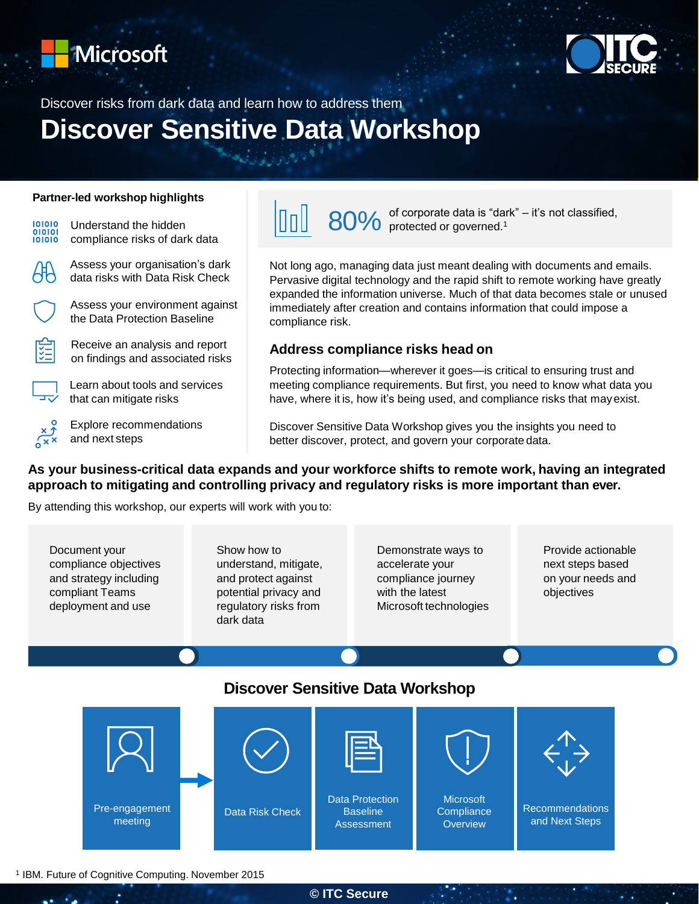



# Discover risks from dark data and learn how to address them **Discover Sensitive Data Workshop**

#### **Partner-led workshop highlights**



80% of corporate data is "dark" – it's not classified,<br>80% protected or governed.<sup>1</sup> NnII

Not long ago, managing data just meant dealing with documents and emails. Pervasive digital technology and the rapid shift to remote working have greatly expanded the information universe. Much of that data becomes stale or unused immediately after creation and contains information that could impose a compliance risk.

### **Address compliance risks head on**

Protecting information—wherever it goes—is critical to ensuring trust and meeting compliance requirements. But first, you need to know what data you have, where it is, how it's being used, and compliance risks that mayexist.

Discover Sensitive Data Workshop gives you the insights you need to better discover, protect, and govern your corporate data.

### **As your business-critical data expands and your workforce shifts to remote work, having an integrated approach to mitigating and controlling privacy and regulatory risks is more important than ever.**

By attending this workshop, our experts will work with you to:

Document your compliance objectives and strategy including compliant Teams deployment and use

Show how to understand, mitigate, and protect against potential privacy and regulatory risks from dark data

Demonstrate ways to accelerate your compliance journey with the latest Microsoft technologies Provide actionable next steps based on your needs and objectives

## **Discover Sensitive Data Workshop**



<sup>1</sup> IBM. Future of Cognitive Computing. November 2015